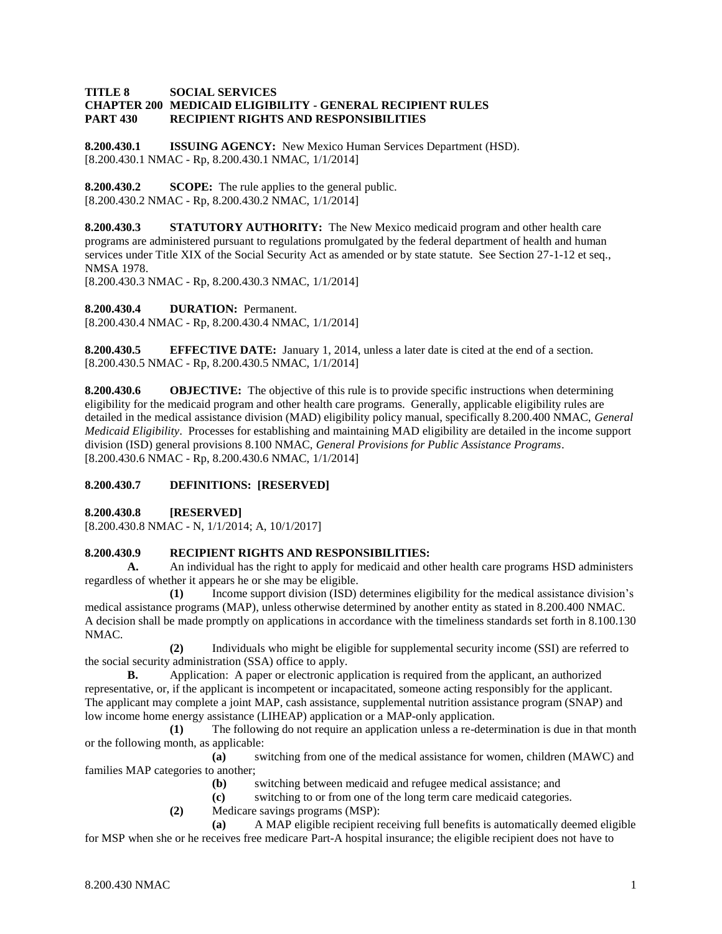#### **TITLE 8 SOCIAL SERVICES CHAPTER 200 MEDICAID ELIGIBILITY - GENERAL RECIPIENT RULES PART 430 RECIPIENT RIGHTS AND RESPONSIBILITIES**

**8.200.430.1 ISSUING AGENCY:** New Mexico Human Services Department (HSD). [8.200.430.1 NMAC - Rp, 8.200.430.1 NMAC, 1/1/2014]

**8.200.430.2 SCOPE:** The rule applies to the general public. [8.200.430.2 NMAC - Rp, 8.200.430.2 NMAC, 1/1/2014]

**8.200.430.3 STATUTORY AUTHORITY:** The New Mexico medicaid program and other health care programs are administered pursuant to regulations promulgated by the federal department of health and human services under Title XIX of the Social Security Act as amended or by state statute. See Section 27-1-12 et seq., NMSA 1978.

[8.200.430.3 NMAC - Rp, 8.200.430.3 NMAC, 1/1/2014]

**8.200.430.4 DURATION:** Permanent.

[8.200.430.4 NMAC - Rp, 8.200.430.4 NMAC, 1/1/2014]

**8.200.430.5 EFFECTIVE DATE:** January 1, 2014, unless a later date is cited at the end of a section. [8.200.430.5 NMAC - Rp, 8.200.430.5 NMAC, 1/1/2014]

**8.200.430.6 OBJECTIVE:** The objective of this rule is to provide specific instructions when determining eligibility for the medicaid program and other health care programs. Generally, applicable eligibility rules are detailed in the medical assistance division (MAD) eligibility policy manual, specifically 8.200.400 NMAC, *General Medicaid Eligibility*. Processes for establishing and maintaining MAD eligibility are detailed in the income support division (ISD) general provisions 8.100 NMAC, *General Provisions for Public Assistance Programs*. [8.200.430.6 NMAC - Rp, 8.200.430.6 NMAC, 1/1/2014]

### **8.200.430.7 DEFINITIONS: [RESERVED]**

**8.200.430.8 [RESERVED]**

[8.200.430.8 NMAC - N, 1/1/2014; A, 10/1/2017]

### **8.200.430.9 RECIPIENT RIGHTS AND RESPONSIBILITIES:**

**A.** An individual has the right to apply for medicaid and other health care programs HSD administers regardless of whether it appears he or she may be eligible.

**(1)** Income support division (ISD) determines eligibility for the medical assistance division's medical assistance programs (MAP), unless otherwise determined by another entity as stated in 8.200.400 NMAC. A decision shall be made promptly on applications in accordance with the timeliness standards set forth in 8.100.130 NMAC.

**(2)** Individuals who might be eligible for supplemental security income (SSI) are referred to the social security administration (SSA) office to apply.

**B.** Application: A paper or electronic application is required from the applicant, an authorized representative, or, if the applicant is incompetent or incapacitated, someone acting responsibly for the applicant. The applicant may complete a joint MAP, cash assistance, supplemental nutrition assistance program (SNAP) and low income home energy assistance (LIHEAP) application or a MAP-only application.

**(1)** The following do not require an application unless a re-determination is due in that month or the following month, as applicable:

**(a)** switching from one of the medical assistance for women, children (MAWC) and families MAP categories to another;

**(b)** switching between medicaid and refugee medical assistance; and

**(c)** switching to or from one of the long term care medicaid categories.

**(2)** Medicare savings programs (MSP):

**(a)** A MAP eligible recipient receiving full benefits is automatically deemed eligible for MSP when she or he receives free medicare Part-A hospital insurance; the eligible recipient does not have to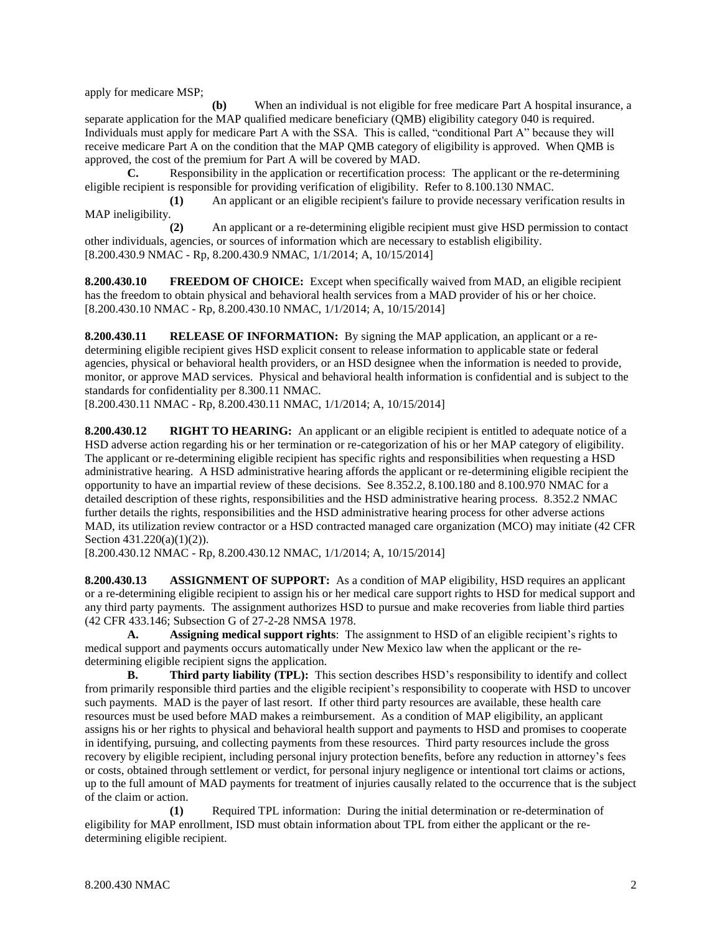apply for medicare MSP;

**(b)** When an individual is not eligible for free medicare Part A hospital insurance, a separate application for the MAP qualified medicare beneficiary (QMB) eligibility category 040 is required. Individuals must apply for medicare Part A with the SSA. This is called, "conditional Part A" because they will receive medicare Part A on the condition that the MAP QMB category of eligibility is approved. When QMB is approved, the cost of the premium for Part A will be covered by MAD.

**C.** Responsibility in the application or recertification process: The applicant or the re-determining eligible recipient is responsible for providing verification of eligibility. Refer to 8.100.130 NMAC.

**(1)** An applicant or an eligible recipient's failure to provide necessary verification results in MAP ineligibility.

**(2)** An applicant or a re-determining eligible recipient must give HSD permission to contact other individuals, agencies, or sources of information which are necessary to establish eligibility. [8.200.430.9 NMAC - Rp, 8.200.430.9 NMAC, 1/1/2014; A, 10/15/2014]

**8.200.430.10 FREEDOM OF CHOICE:** Except when specifically waived from MAD, an eligible recipient has the freedom to obtain physical and behavioral health services from a MAD provider of his or her choice. [8.200.430.10 NMAC - Rp, 8.200.430.10 NMAC, 1/1/2014; A, 10/15/2014]

**8.200.430.11 RELEASE OF INFORMATION:** By signing the MAP application, an applicant or a redetermining eligible recipient gives HSD explicit consent to release information to applicable state or federal agencies, physical or behavioral health providers, or an HSD designee when the information is needed to provide, monitor, or approve MAD services. Physical and behavioral health information is confidential and is subject to the standards for confidentiality per 8.300.11 NMAC.

[8.200.430.11 NMAC - Rp, 8.200.430.11 NMAC, 1/1/2014; A, 10/15/2014]

**8.200.430.12 RIGHT TO HEARING:** An applicant or an eligible recipient is entitled to adequate notice of a HSD adverse action regarding his or her termination or re-categorization of his or her MAP category of eligibility. The applicant or re-determining eligible recipient has specific rights and responsibilities when requesting a HSD administrative hearing. A HSD administrative hearing affords the applicant or re-determining eligible recipient the opportunity to have an impartial review of these decisions. See 8.352.2, 8.100.180 and 8.100.970 NMAC for a detailed description of these rights, responsibilities and the HSD administrative hearing process. 8.352.2 NMAC further details the rights, responsibilities and the HSD administrative hearing process for other adverse actions MAD, its utilization review contractor or a HSD contracted managed care organization (MCO) may initiate (42 CFR Section 431.220(a)(1)(2)).

[8.200.430.12 NMAC - Rp, 8.200.430.12 NMAC, 1/1/2014; A, 10/15/2014]

**8.200.430.13 ASSIGNMENT OF SUPPORT:** As a condition of MAP eligibility, HSD requires an applicant or a re-determining eligible recipient to assign his or her medical care support rights to HSD for medical support and any third party payments. The assignment authorizes HSD to pursue and make recoveries from liable third parties (42 CFR 433.146; Subsection G of 27-2-28 NMSA 1978.

**A. Assigning medical support rights**: The assignment to HSD of an eligible recipient's rights to medical support and payments occurs automatically under New Mexico law when the applicant or the redetermining eligible recipient signs the application.

**B. Third party liability (TPL):** This section describes HSD's responsibility to identify and collect from primarily responsible third parties and the eligible recipient's responsibility to cooperate with HSD to uncover such payments. MAD is the payer of last resort. If other third party resources are available, these health care resources must be used before MAD makes a reimbursement. As a condition of MAP eligibility, an applicant assigns his or her rights to physical and behavioral health support and payments to HSD and promises to cooperate in identifying, pursuing, and collecting payments from these resources. Third party resources include the gross recovery by eligible recipient, including personal injury protection benefits, before any reduction in attorney's fees or costs, obtained through settlement or verdict, for personal injury negligence or intentional tort claims or actions, up to the full amount of MAD payments for treatment of injuries causally related to the occurrence that is the subject of the claim or action.

**(1)** Required TPL information: During the initial determination or re-determination of eligibility for MAP enrollment, ISD must obtain information about TPL from either the applicant or the redetermining eligible recipient.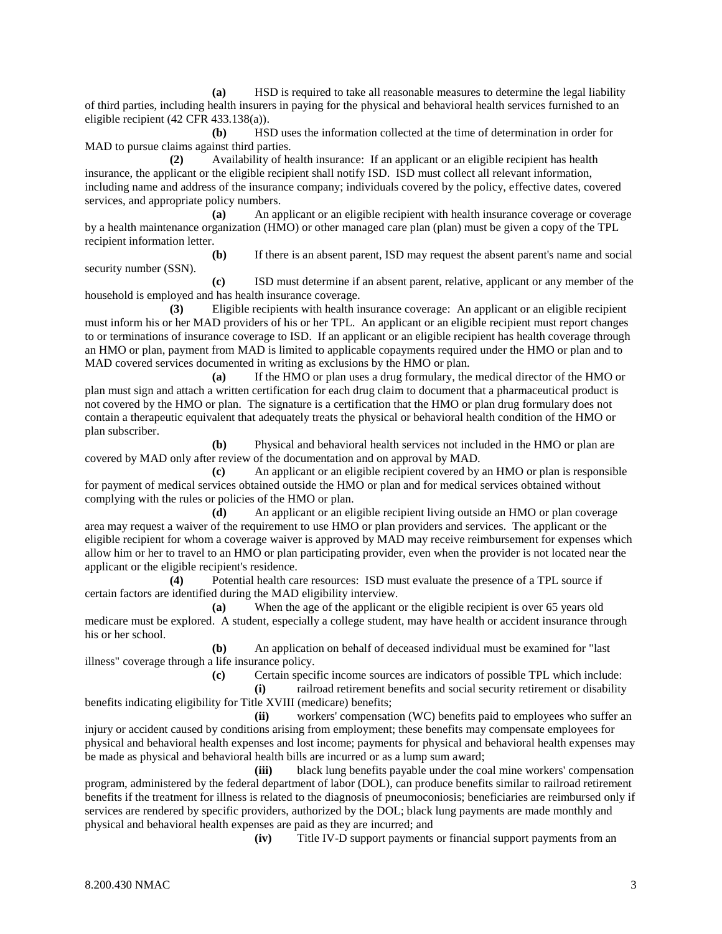**(a)** HSD is required to take all reasonable measures to determine the legal liability of third parties, including health insurers in paying for the physical and behavioral health services furnished to an eligible recipient (42 CFR 433.138(a)).

**(b)** HSD uses the information collected at the time of determination in order for MAD to pursue claims against third parties.

**(2)** Availability of health insurance: If an applicant or an eligible recipient has health insurance, the applicant or the eligible recipient shall notify ISD. ISD must collect all relevant information, including name and address of the insurance company; individuals covered by the policy, effective dates, covered services, and appropriate policy numbers.

**(a)** An applicant or an eligible recipient with health insurance coverage or coverage by a health maintenance organization (HMO) or other managed care plan (plan) must be given a copy of the TPL recipient information letter.

**(b)** If there is an absent parent, ISD may request the absent parent's name and social security number (SSN).

**(c)** ISD must determine if an absent parent, relative, applicant or any member of the household is employed and has health insurance coverage.

**(3)** Eligible recipients with health insurance coverage: An applicant or an eligible recipient must inform his or her MAD providers of his or her TPL. An applicant or an eligible recipient must report changes to or terminations of insurance coverage to ISD. If an applicant or an eligible recipient has health coverage through an HMO or plan, payment from MAD is limited to applicable copayments required under the HMO or plan and to MAD covered services documented in writing as exclusions by the HMO or plan.

**(a)** If the HMO or plan uses a drug formulary, the medical director of the HMO or plan must sign and attach a written certification for each drug claim to document that a pharmaceutical product is not covered by the HMO or plan. The signature is a certification that the HMO or plan drug formulary does not contain a therapeutic equivalent that adequately treats the physical or behavioral health condition of the HMO or plan subscriber.

**(b)** Physical and behavioral health services not included in the HMO or plan are covered by MAD only after review of the documentation and on approval by MAD.

**(c)** An applicant or an eligible recipient covered by an HMO or plan is responsible for payment of medical services obtained outside the HMO or plan and for medical services obtained without complying with the rules or policies of the HMO or plan.

**(d)** An applicant or an eligible recipient living outside an HMO or plan coverage area may request a waiver of the requirement to use HMO or plan providers and services. The applicant or the eligible recipient for whom a coverage waiver is approved by MAD may receive reimbursement for expenses which allow him or her to travel to an HMO or plan participating provider, even when the provider is not located near the applicant or the eligible recipient's residence.

**(4)** Potential health care resources: ISD must evaluate the presence of a TPL source if certain factors are identified during the MAD eligibility interview.

**(a)** When the age of the applicant or the eligible recipient is over 65 years old medicare must be explored. A student, especially a college student, may have health or accident insurance through his or her school.

**(b)** An application on behalf of deceased individual must be examined for "last illness" coverage through a life insurance policy.

**(c)** Certain specific income sources are indicators of possible TPL which include:

**(i)** railroad retirement benefits and social security retirement or disability benefits indicating eligibility for Title XVIII (medicare) benefits;

**(ii)** workers' compensation (WC) benefits paid to employees who suffer an injury or accident caused by conditions arising from employment; these benefits may compensate employees for physical and behavioral health expenses and lost income; payments for physical and behavioral health expenses may be made as physical and behavioral health bills are incurred or as a lump sum award;

**(iii)** black lung benefits payable under the coal mine workers' compensation program, administered by the federal department of labor (DOL), can produce benefits similar to railroad retirement benefits if the treatment for illness is related to the diagnosis of pneumoconiosis; beneficiaries are reimbursed only if services are rendered by specific providers, authorized by the DOL; black lung payments are made monthly and physical and behavioral health expenses are paid as they are incurred; and

**(iv)** Title IV-D support payments or financial support payments from an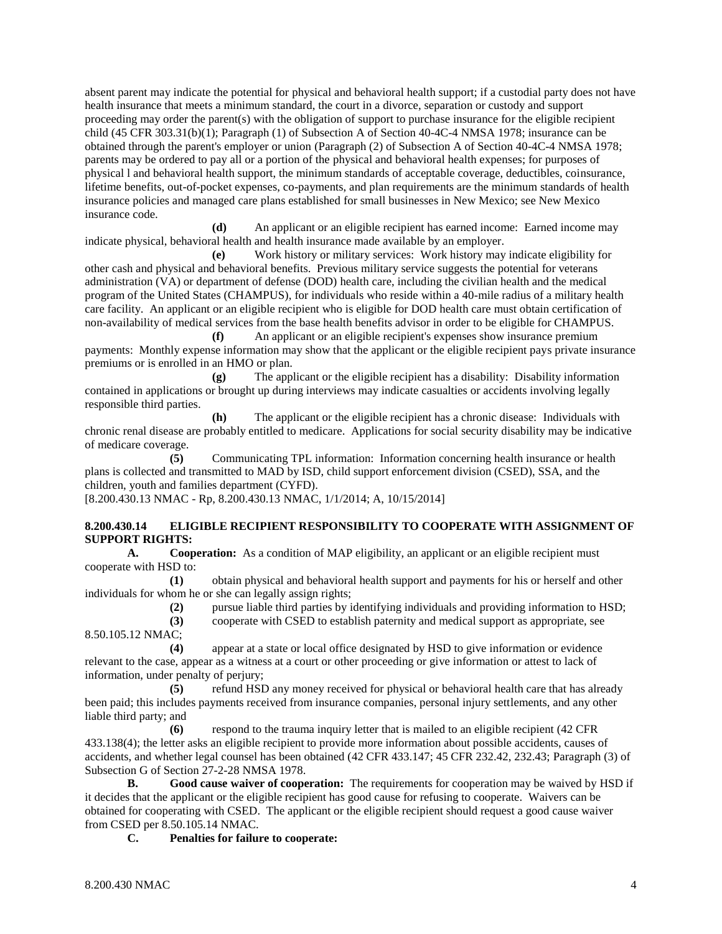absent parent may indicate the potential for physical and behavioral health support; if a custodial party does not have health insurance that meets a minimum standard, the court in a divorce, separation or custody and support proceeding may order the parent(s) with the obligation of support to purchase insurance for the eligible recipient child (45 CFR 303.31(b)(1); Paragraph (1) of Subsection A of Section 40-4C-4 NMSA 1978; insurance can be obtained through the parent's employer or union (Paragraph (2) of Subsection A of Section 40-4C-4 NMSA 1978; parents may be ordered to pay all or a portion of the physical and behavioral health expenses; for purposes of physical l and behavioral health support, the minimum standards of acceptable coverage, deductibles, coinsurance, lifetime benefits, out-of-pocket expenses, co-payments, and plan requirements are the minimum standards of health insurance policies and managed care plans established for small businesses in New Mexico; see New Mexico insurance code.

**(d)** An applicant or an eligible recipient has earned income: Earned income may indicate physical, behavioral health and health insurance made available by an employer.

**(e)** Work history or military services: Work history may indicate eligibility for other cash and physical and behavioral benefits. Previous military service suggests the potential for veterans administration (VA) or department of defense (DOD) health care, including the civilian health and the medical program of the United States (CHAMPUS), for individuals who reside within a 40-mile radius of a military health care facility. An applicant or an eligible recipient who is eligible for DOD health care must obtain certification of non-availability of medical services from the base health benefits advisor in order to be eligible for CHAMPUS.

**(f)** An applicant or an eligible recipient's expenses show insurance premium payments: Monthly expense information may show that the applicant or the eligible recipient pays private insurance premiums or is enrolled in an HMO or plan.

**(g)** The applicant or the eligible recipient has a disability: Disability information contained in applications or brought up during interviews may indicate casualties or accidents involving legally responsible third parties.

**(h)** The applicant or the eligible recipient has a chronic disease: Individuals with chronic renal disease are probably entitled to medicare. Applications for social security disability may be indicative of medicare coverage.

**(5)** Communicating TPL information: Information concerning health insurance or health plans is collected and transmitted to MAD by ISD, child support enforcement division (CSED), SSA, and the children, youth and families department (CYFD).

[8.200.430.13 NMAC - Rp, 8.200.430.13 NMAC, 1/1/2014; A, 10/15/2014]

#### **8.200.430.14 ELIGIBLE RECIPIENT RESPONSIBILITY TO COOPERATE WITH ASSIGNMENT OF SUPPORT RIGHTS:**

**A. Cooperation:** As a condition of MAP eligibility, an applicant or an eligible recipient must cooperate with HSD to:

**(1)** obtain physical and behavioral health support and payments for his or herself and other individuals for whom he or she can legally assign rights;

**(2)** pursue liable third parties by identifying individuals and providing information to HSD;

**(3)** cooperate with CSED to establish paternity and medical support as appropriate, see 8.50.105.12 NMAC;

**(4)** appear at a state or local office designated by HSD to give information or evidence relevant to the case, appear as a witness at a court or other proceeding or give information or attest to lack of information, under penalty of perjury;

**(5)** refund HSD any money received for physical or behavioral health care that has already been paid; this includes payments received from insurance companies, personal injury settlements, and any other liable third party; and

**(6)** respond to the trauma inquiry letter that is mailed to an eligible recipient (42 CFR 433.138(4); the letter asks an eligible recipient to provide more information about possible accidents, causes of accidents, and whether legal counsel has been obtained (42 CFR 433.147; 45 CFR 232.42, 232.43; Paragraph (3) of Subsection G of Section 27-2-28 NMSA 1978.

**B. Good cause waiver of cooperation:** The requirements for cooperation may be waived by HSD if it decides that the applicant or the eligible recipient has good cause for refusing to cooperate. Waivers can be obtained for cooperating with CSED. The applicant or the eligible recipient should request a good cause waiver from CSED per 8.50.105.14 NMAC.

**C. Penalties for failure to cooperate:**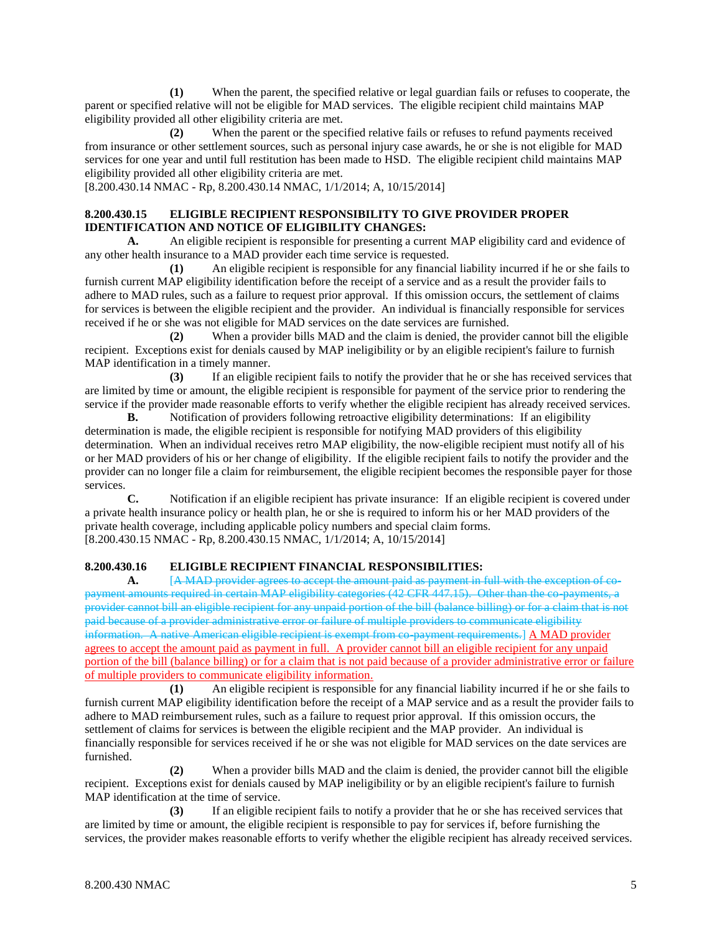**(1)** When the parent, the specified relative or legal guardian fails or refuses to cooperate, the parent or specified relative will not be eligible for MAD services. The eligible recipient child maintains MAP eligibility provided all other eligibility criteria are met.

**(2)** When the parent or the specified relative fails or refuses to refund payments received from insurance or other settlement sources, such as personal injury case awards, he or she is not eligible for MAD services for one year and until full restitution has been made to HSD. The eligible recipient child maintains MAP eligibility provided all other eligibility criteria are met.

[8.200.430.14 NMAC - Rp, 8.200.430.14 NMAC, 1/1/2014; A, 10/15/2014]

# **8.200.430.15 ELIGIBLE RECIPIENT RESPONSIBILITY TO GIVE PROVIDER PROPER IDENTIFICATION AND NOTICE OF ELIGIBILITY CHANGES:**

**A.** An eligible recipient is responsible for presenting a current MAP eligibility card and evidence of any other health insurance to a MAD provider each time service is requested.

**(1)** An eligible recipient is responsible for any financial liability incurred if he or she fails to furnish current MAP eligibility identification before the receipt of a service and as a result the provider fails to adhere to MAD rules, such as a failure to request prior approval. If this omission occurs, the settlement of claims for services is between the eligible recipient and the provider. An individual is financially responsible for services received if he or she was not eligible for MAD services on the date services are furnished.

**(2)** When a provider bills MAD and the claim is denied, the provider cannot bill the eligible recipient. Exceptions exist for denials caused by MAP ineligibility or by an eligible recipient's failure to furnish MAP identification in a timely manner.

**(3)** If an eligible recipient fails to notify the provider that he or she has received services that are limited by time or amount, the eligible recipient is responsible for payment of the service prior to rendering the service if the provider made reasonable efforts to verify whether the eligible recipient has already received services.

**B.** Notification of providers following retroactive eligibility determinations: If an eligibility determination is made, the eligible recipient is responsible for notifying MAD providers of this eligibility determination. When an individual receives retro MAP eligibility, the now-eligible recipient must notify all of his or her MAD providers of his or her change of eligibility. If the eligible recipient fails to notify the provider and the provider can no longer file a claim for reimbursement, the eligible recipient becomes the responsible payer for those services.

**C.** Notification if an eligible recipient has private insurance: If an eligible recipient is covered under a private health insurance policy or health plan, he or she is required to inform his or her MAD providers of the private health coverage, including applicable policy numbers and special claim forms. [8.200.430.15 NMAC - Rp, 8.200.430.15 NMAC, 1/1/2014; A, 10/15/2014]

### **8.200.430.16 ELIGIBLE RECIPIENT FINANCIAL RESPONSIBILITIES:**

**A.** [A MAD provider agrees to accept the amount paid as payment in full with the exception of copayment amounts required in certain MAP eligibility categories (42 CFR 447.15). Other than the co-payments, a provider cannot bill an eligible recipient for any unpaid portion of the bill (balance billing) or for a claim that is not paid because of a provider administrative error or failure of multiple providers to communicate eligibility information. A native American eligible recipient is exempt from co-payment requirements.] A MAD provider agrees to accept the amount paid as payment in full. A provider cannot bill an eligible recipient for any unpaid portion of the bill (balance billing) or for a claim that is not paid because of a provider administrative error or failure of multiple providers to communicate eligibility information.

**(1)** An eligible recipient is responsible for any financial liability incurred if he or she fails to furnish current MAP eligibility identification before the receipt of a MAP service and as a result the provider fails to adhere to MAD reimbursement rules, such as a failure to request prior approval. If this omission occurs, the settlement of claims for services is between the eligible recipient and the MAP provider. An individual is financially responsible for services received if he or she was not eligible for MAD services on the date services are furnished.

**(2)** When a provider bills MAD and the claim is denied, the provider cannot bill the eligible recipient. Exceptions exist for denials caused by MAP ineligibility or by an eligible recipient's failure to furnish MAP identification at the time of service.

**(3)** If an eligible recipient fails to notify a provider that he or she has received services that are limited by time or amount, the eligible recipient is responsible to pay for services if, before furnishing the services, the provider makes reasonable efforts to verify whether the eligible recipient has already received services.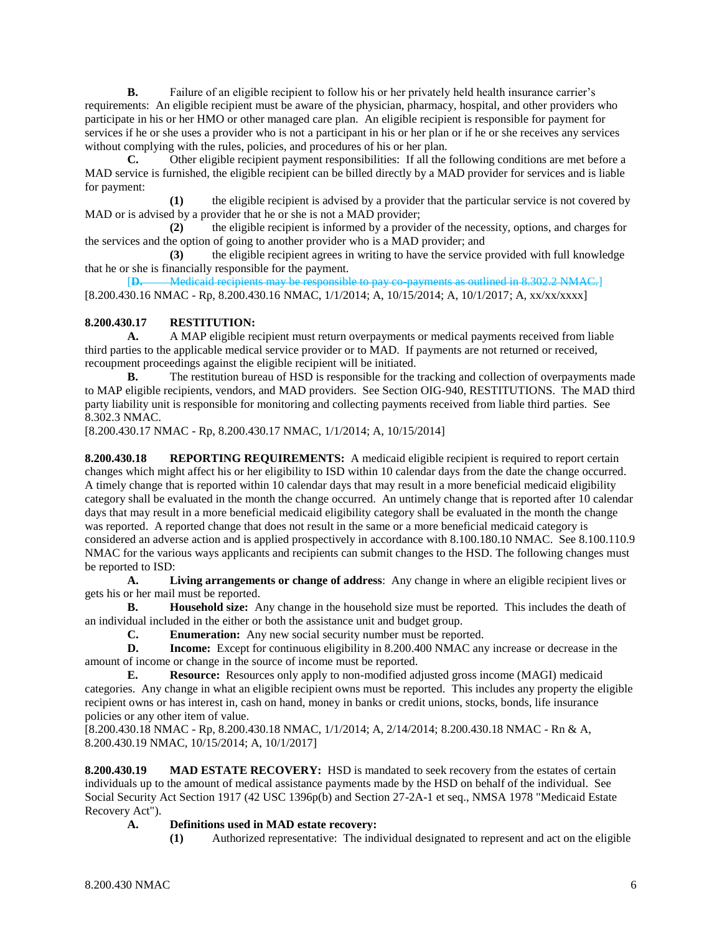**B.** Failure of an eligible recipient to follow his or her privately held health insurance carrier's requirements: An eligible recipient must be aware of the physician, pharmacy, hospital, and other providers who participate in his or her HMO or other managed care plan. An eligible recipient is responsible for payment for services if he or she uses a provider who is not a participant in his or her plan or if he or she receives any services without complying with the rules, policies, and procedures of his or her plan.

**C.** Other eligible recipient payment responsibilities: If all the following conditions are met before a MAD service is furnished, the eligible recipient can be billed directly by a MAD provider for services and is liable for payment:

**(1)** the eligible recipient is advised by a provider that the particular service is not covered by MAD or is advised by a provider that he or she is not a MAD provider;

**(2)** the eligible recipient is informed by a provider of the necessity, options, and charges for the services and the option of going to another provider who is a MAD provider; and

**(3)** the eligible recipient agrees in writing to have the service provided with full knowledge that he or she is financially responsible for the payment.

[**D.** Medicaid recipients may be responsible to pay co-payments as outlined in 8.302.2 NMAC.] [8.200.430.16 NMAC - Rp, 8.200.430.16 NMAC, 1/1/2014; A, 10/15/2014; A, 10/1/2017; A, xx/xx/xxxx]

### **8.200.430.17 RESTITUTION:**

**A.** A MAP eligible recipient must return overpayments or medical payments received from liable third parties to the applicable medical service provider or to MAD. If payments are not returned or received, recoupment proceedings against the eligible recipient will be initiated.

**B.** The restitution bureau of HSD is responsible for the tracking and collection of overpayments made to MAP eligible recipients, vendors, and MAD providers. See Section OIG-940, RESTITUTIONS. The MAD third party liability unit is responsible for monitoring and collecting payments received from liable third parties. See 8.302.3 NMAC.

[8.200.430.17 NMAC - Rp, 8.200.430.17 NMAC, 1/1/2014; A, 10/15/2014]

**8.200.430.18 REPORTING REQUIREMENTS:** A medicaid eligible recipient is required to report certain changes which might affect his or her eligibility to ISD within 10 calendar days from the date the change occurred. A timely change that is reported within 10 calendar days that may result in a more beneficial medicaid eligibility category shall be evaluated in the month the change occurred. An untimely change that is reported after 10 calendar days that may result in a more beneficial medicaid eligibility category shall be evaluated in the month the change was reported. A reported change that does not result in the same or a more beneficial medicaid category is considered an adverse action and is applied prospectively in accordance with 8.100.180.10 NMAC. See 8.100.110.9 NMAC for the various ways applicants and recipients can submit changes to the HSD. The following changes must be reported to ISD:

**A. Living arrangements or change of address**: Any change in where an eligible recipient lives or gets his or her mail must be reported.

**B. Household size:** Any change in the household size must be reported. This includes the death of an individual included in the either or both the assistance unit and budget group.

**C. Enumeration:** Any new social security number must be reported.

**D. Income:** Except for continuous eligibility in 8.200.400 NMAC any increase or decrease in the amount of income or change in the source of income must be reported.

**E. Resource:** Resources only apply to non-modified adjusted gross income (MAGI) medicaid categories. Any change in what an eligible recipient owns must be reported. This includes any property the eligible recipient owns or has interest in, cash on hand, money in banks or credit unions, stocks, bonds, life insurance policies or any other item of value.

[8.200.430.18 NMAC - Rp, 8.200.430.18 NMAC, 1/1/2014; A, 2/14/2014; 8.200.430.18 NMAC - Rn & A, 8.200.430.19 NMAC, 10/15/2014; A, 10/1/2017]

**8.200.430.19 MAD ESTATE RECOVERY:** HSD is mandated to seek recovery from the estates of certain individuals up to the amount of medical assistance payments made by the HSD on behalf of the individual. See Social Security Act Section 1917 (42 USC 1396p(b) and Section 27-2A-1 et seq., NMSA 1978 "Medicaid Estate Recovery Act").

### **A. Definitions used in MAD estate recovery:**

**(1)** Authorized representative: The individual designated to represent and act on the eligible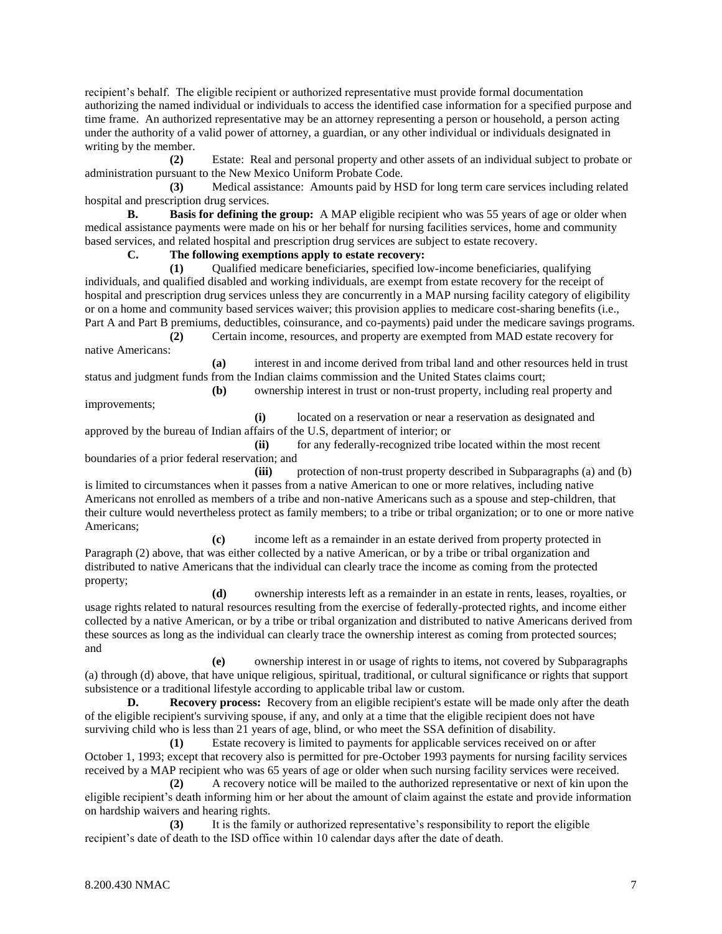recipient's behalf. The eligible recipient or authorized representative must provide formal documentation authorizing the named individual or individuals to access the identified case information for a specified purpose and time frame. An authorized representative may be an attorney representing a person or household, a person acting under the authority of a valid power of attorney, a guardian, or any other individual or individuals designated in writing by the member.

**(2)** Estate: Real and personal property and other assets of an individual subject to probate or administration pursuant to the New Mexico Uniform Probate Code.

**(3)** Medical assistance: Amounts paid by HSD for long term care services including related hospital and prescription drug services.

**B. Basis for defining the group:** A MAP eligible recipient who was 55 years of age or older when medical assistance payments were made on his or her behalf for nursing facilities services, home and community based services, and related hospital and prescription drug services are subject to estate recovery.

**C. The following exemptions apply to estate recovery:**

**(1)** Qualified medicare beneficiaries, specified low-income beneficiaries, qualifying individuals, and qualified disabled and working individuals, are exempt from estate recovery for the receipt of hospital and prescription drug services unless they are concurrently in a MAP nursing facility category of eligibility or on a home and community based services waiver; this provision applies to medicare cost-sharing benefits (i.e., Part A and Part B premiums, deductibles, coinsurance, and co-payments) paid under the medicare savings programs.

**(2)** Certain income, resources, and property are exempted from MAD estate recovery for native Americans:

**(a)** interest in and income derived from tribal land and other resources held in trust status and judgment funds from the Indian claims commission and the United States claims court;

**(b)** ownership interest in trust or non-trust property, including real property and improvements;

**(i)** located on a reservation or near a reservation as designated and approved by the bureau of Indian affairs of the U.S, department of interior; or

**(ii)** for any federally-recognized tribe located within the most recent boundaries of a prior federal reservation; and

**(iii)** protection of non-trust property described in Subparagraphs (a) and (b) is limited to circumstances when it passes from a native American to one or more relatives, including native Americans not enrolled as members of a tribe and non-native Americans such as a spouse and step-children, that their culture would nevertheless protect as family members; to a tribe or tribal organization; or to one or more native Americans;

**(c)** income left as a remainder in an estate derived from property protected in Paragraph (2) above, that was either collected by a native American, or by a tribe or tribal organization and distributed to native Americans that the individual can clearly trace the income as coming from the protected property;

**(d)** ownership interests left as a remainder in an estate in rents, leases, royalties, or usage rights related to natural resources resulting from the exercise of federally-protected rights, and income either collected by a native American, or by a tribe or tribal organization and distributed to native Americans derived from these sources as long as the individual can clearly trace the ownership interest as coming from protected sources; and

**(e)** ownership interest in or usage of rights to items, not covered by Subparagraphs (a) through (d) above, that have unique religious, spiritual, traditional, or cultural significance or rights that support subsistence or a traditional lifestyle according to applicable tribal law or custom.

**D. Recovery process:** Recovery from an eligible recipient's estate will be made only after the death of the eligible recipient's surviving spouse, if any, and only at a time that the eligible recipient does not have surviving child who is less than 21 years of age, blind, or who meet the SSA definition of disability.

**(1)** Estate recovery is limited to payments for applicable services received on or after October 1, 1993; except that recovery also is permitted for pre-October 1993 payments for nursing facility services received by a MAP recipient who was 65 years of age or older when such nursing facility services were received.

**(2)** A recovery notice will be mailed to the authorized representative or next of kin upon the eligible recipient's death informing him or her about the amount of claim against the estate and provide information on hardship waivers and hearing rights.

**(3)** It is the family or authorized representative's responsibility to report the eligible recipient's date of death to the ISD office within 10 calendar days after the date of death.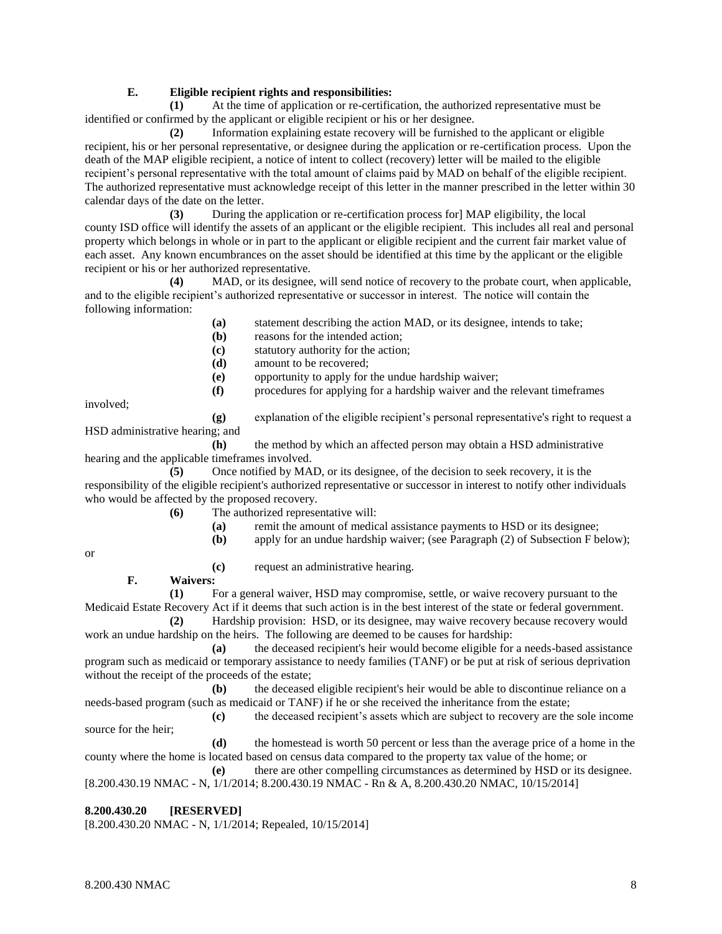### **E. Eligible recipient rights and responsibilities:**

**(1)** At the time of application or re-certification, the authorized representative must be identified or confirmed by the applicant or eligible recipient or his or her designee.

**(2)** Information explaining estate recovery will be furnished to the applicant or eligible recipient, his or her personal representative, or designee during the application or re-certification process. Upon the death of the MAP eligible recipient, a notice of intent to collect (recovery) letter will be mailed to the eligible recipient's personal representative with the total amount of claims paid by MAD on behalf of the eligible recipient. The authorized representative must acknowledge receipt of this letter in the manner prescribed in the letter within 30 calendar days of the date on the letter.

**(3)** During the application or re-certification process for] MAP eligibility, the local county ISD office will identify the assets of an applicant or the eligible recipient. This includes all real and personal property which belongs in whole or in part to the applicant or eligible recipient and the current fair market value of each asset. Any known encumbrances on the asset should be identified at this time by the applicant or the eligible recipient or his or her authorized representative.

**(4)** MAD, or its designee, will send notice of recovery to the probate court, when applicable, and to the eligible recipient's authorized representative or successor in interest. The notice will contain the following information:

- **(a)** statement describing the action MAD, or its designee, intends to take;
- **(b)** reasons for the intended action;
- **(c)** statutory authority for the action;
- **(d)** amount to be recovered;
- **(e)** opportunity to apply for the undue hardship waiver;
- **(f)** procedures for applying for a hardship waiver and the relevant timeframes

involved;

**(g)** explanation of the eligible recipient's personal representative's right to request a HSD administrative hearing; and

**(h)** the method by which an affected person may obtain a HSD administrative hearing and the applicable timeframes involved.

**(5)** Once notified by MAD, or its designee, of the decision to seek recovery, it is the responsibility of the eligible recipient's authorized representative or successor in interest to notify other individuals who would be affected by the proposed recovery.

**(6)** The authorized representative will:

- **(a)** remit the amount of medical assistance payments to HSD or its designee;
- **(b)** apply for an undue hardship waiver; (see Paragraph (2) of Subsection F below);

or

**(c)** request an administrative hearing. **F. Waivers:**

**(1)** For a general waiver, HSD may compromise, settle, or waive recovery pursuant to the Medicaid Estate Recovery Act if it deems that such action is in the best interest of the state or federal government.

**(2)** Hardship provision: HSD, or its designee, may waive recovery because recovery would work an undue hardship on the heirs. The following are deemed to be causes for hardship:

**(a)** the deceased recipient's heir would become eligible for a needs-based assistance program such as medicaid or temporary assistance to needy families (TANF) or be put at risk of serious deprivation without the receipt of the proceeds of the estate;

**(b)** the deceased eligible recipient's heir would be able to discontinue reliance on a needs-based program (such as medicaid or TANF) if he or she received the inheritance from the estate;

**(c)** the deceased recipient's assets which are subject to recovery are the sole income source for the heir;

**(d)** the homestead is worth 50 percent or less than the average price of a home in the county where the home is located based on census data compared to the property tax value of the home; or

**(e)** there are other compelling circumstances as determined by HSD or its designee. [8.200.430.19 NMAC - N, 1/1/2014; 8.200.430.19 NMAC - Rn & A, 8.200.430.20 NMAC, 10/15/2014]

### **8.200.430.20 [RESERVED]**

[8.200.430.20 NMAC - N, 1/1/2014; Repealed, 10/15/2014]